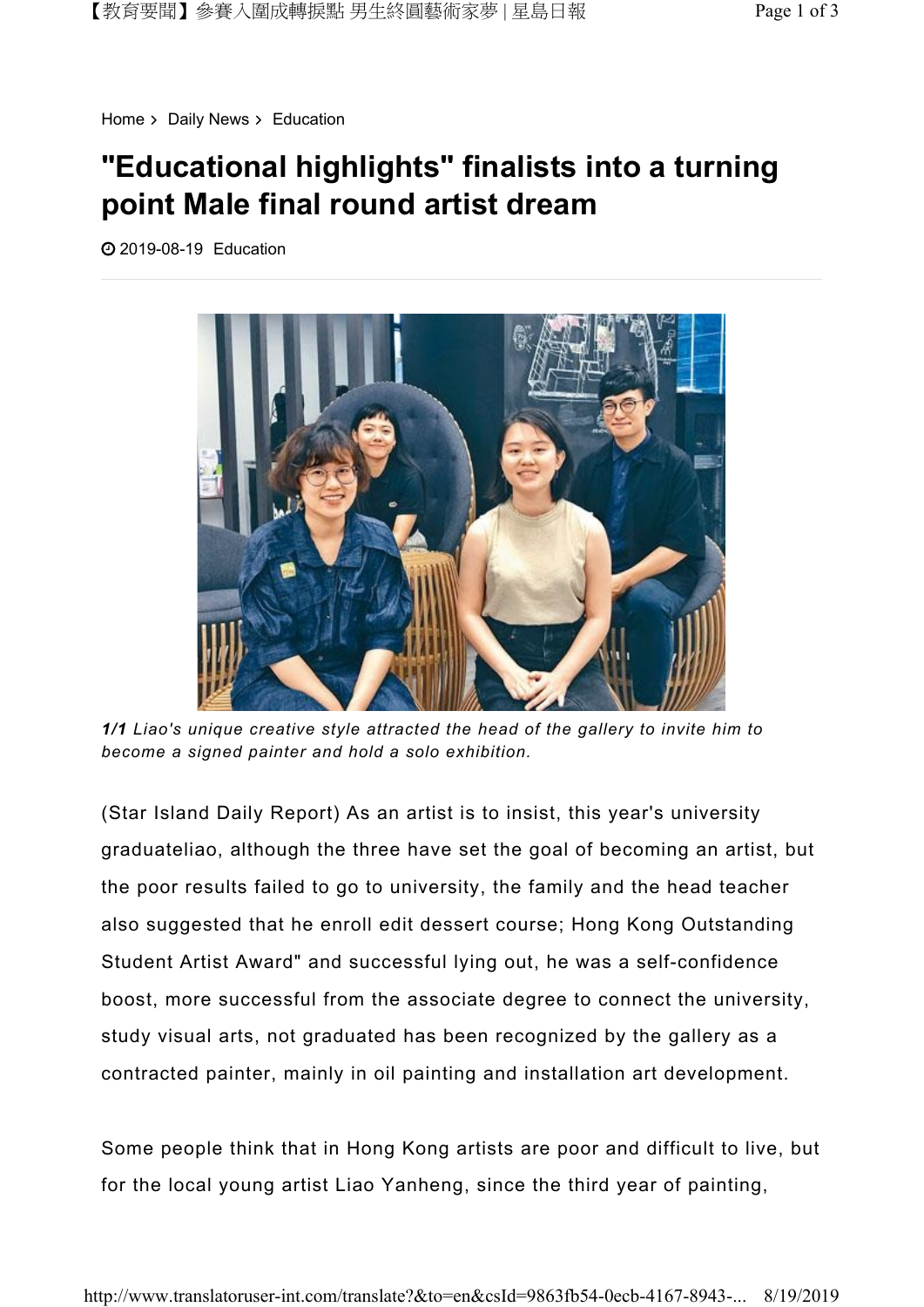Home  $>$  Daily News  $>$  Education

## "Educational highlights" finalists into a turning point Male final round artist dream

2019-08-19 Education



1/1 Liao's unique creative style attracted the head of the gallery to invite him to become a signed painter and hold a solo exhibition.

(Star Island Daily Report) As an artist is to insist, this year's university graduateliao, although the three have set the goal of becoming an artist, but the poor results failed to go to university, the family and the head teacher also suggested that he enroll edit dessert course; Hong Kong Outstanding Student Artist Award" and successful lying out, he was a self-confidence boost, more successful from the associate degree to connect the university, study visual arts, not graduated has been recognized by the gallery as a contracted painter, mainly in oil painting and installation art development.

Some people think that in Hong Kong artists are poor and difficult to live, but for the local young artist Liao Yanheng, since the third year of painting,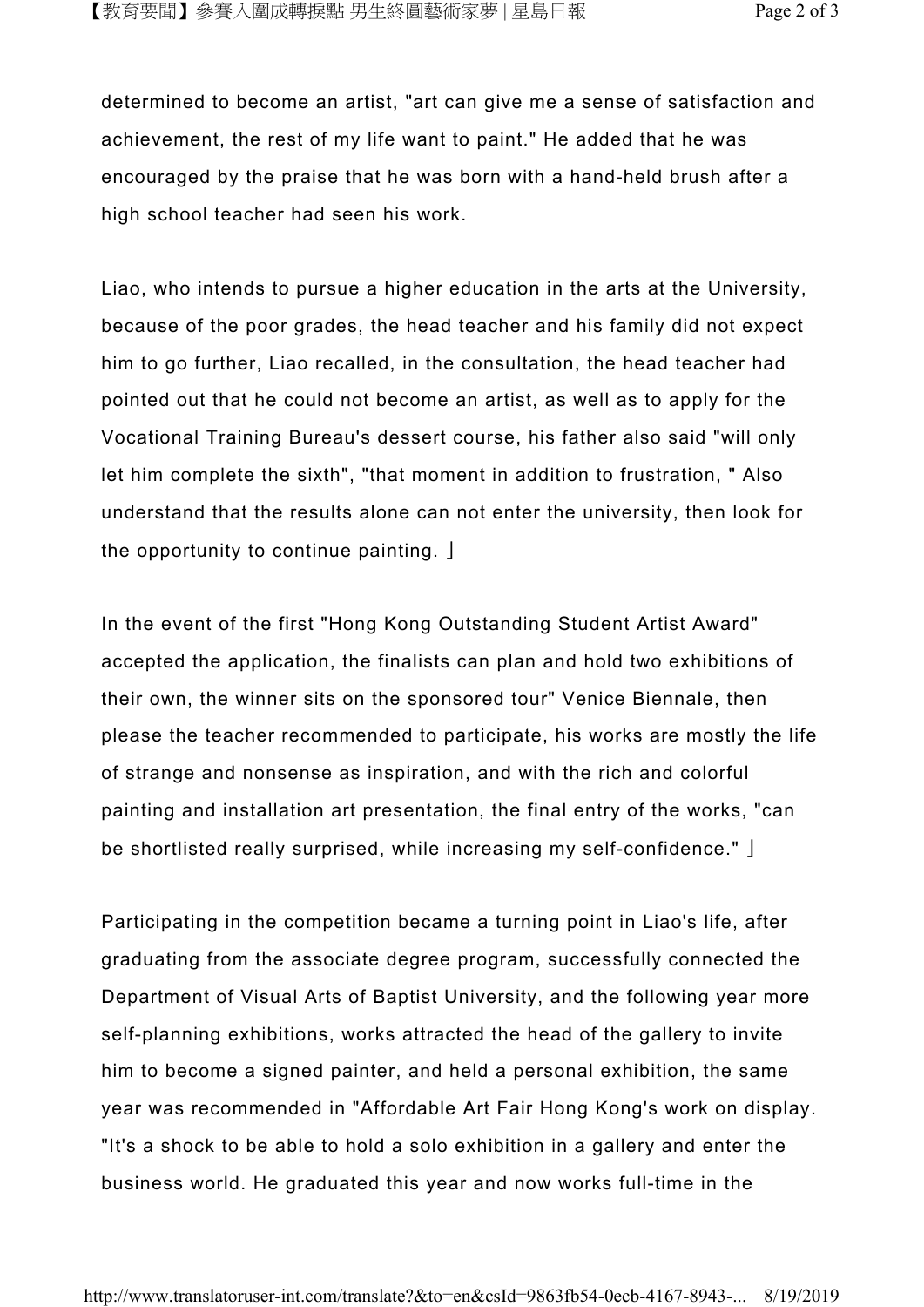determined to become an artist, "art can give me a sense of satisfaction and achievement, the rest of my life want to paint." He added that he was encouraged by the praise that he was born with a hand-held brush after a high school teacher had seen his work.

Liao, who intends to pursue a higher education in the arts at the University, because of the poor grades, the head teacher and his family did not expect him to go further, Liao recalled, in the consultation, the head teacher had pointed out that he could not become an artist, as well as to apply for the Vocational Training Bureau's dessert course, his father also said "will only let him complete the sixth", "that moment in addition to frustration, " Also understand that the results alone can not enter the university, then look for the opportunity to continue painting. 」

In the event of the first "Hong Kong Outstanding Student Artist Award" accepted the application, the finalists can plan and hold two exhibitions of their own, the winner sits on the sponsored tour" Venice Biennale, then please the teacher recommended to participate, his works are mostly the life of strange and nonsense as inspiration, and with the rich and colorful painting and installation art presentation, the final entry of the works, "can be shortlisted really surprised, while increasing my self-confidence." 」

Participating in the competition became a turning point in Liao's life, after graduating from the associate degree program, successfully connected the Department of Visual Arts of Baptist University, and the following year more self-planning exhibitions, works attracted the head of the gallery to invite him to become a signed painter, and held a personal exhibition, the same year was recommended in "Affordable Art Fair Hong Kong's work on display. "It's a shock to be able to hold a solo exhibition in a gallery and enter the business world. He graduated this year and now works full-time in the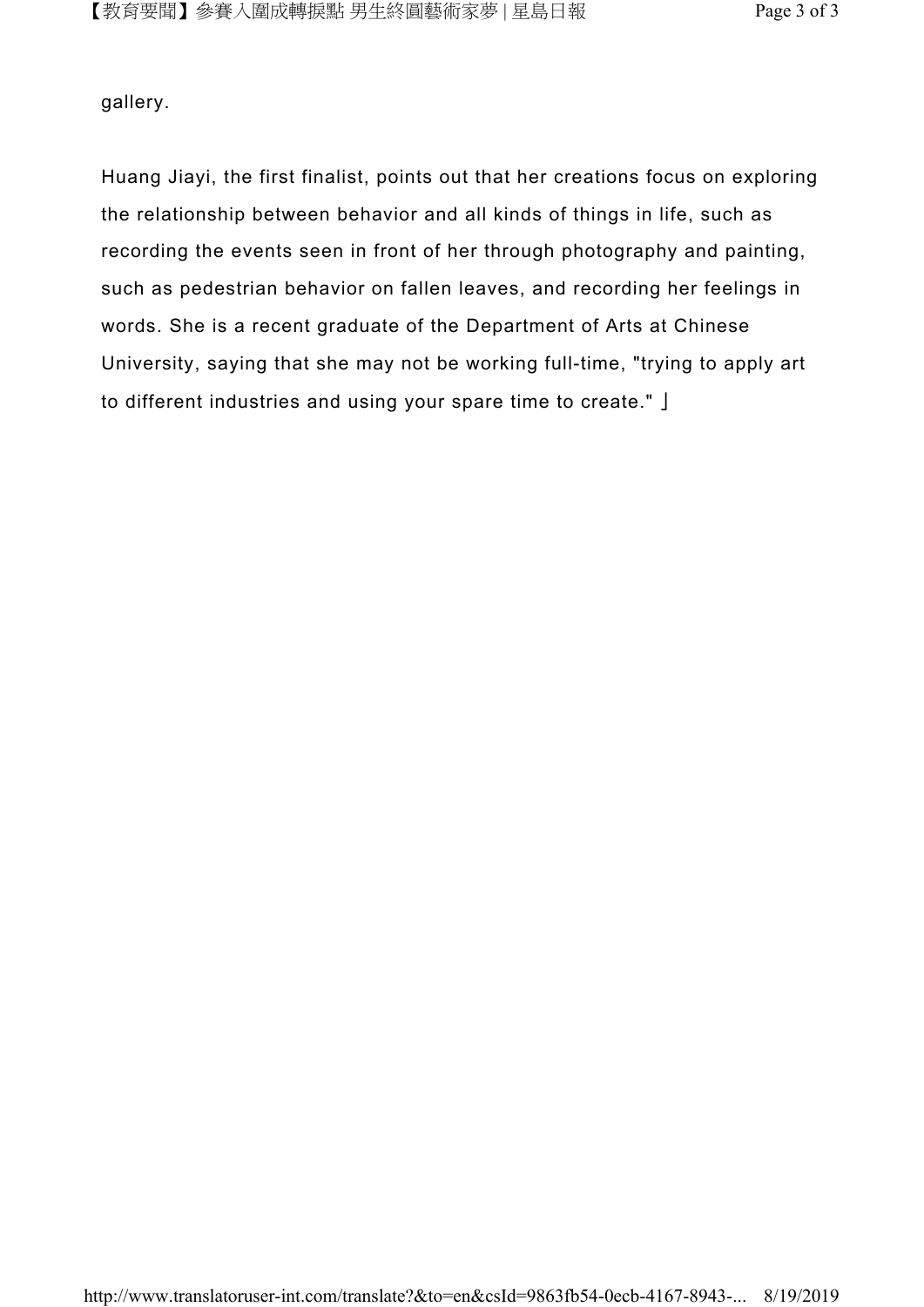gallery.

Huang Jiayi, the first finalist, points out that her creations focus on exploring the relationship between behavior and all kinds of things in life, such as recording the events seen in front of her through photography and painting, such as pedestrian behavior on fallen leaves, and recording her feelings in words. She is a recent graduate of the Department of Arts at Chinese University, saying that she may not be working full-time, "trying to apply art to different industries and using your spare time to create." 」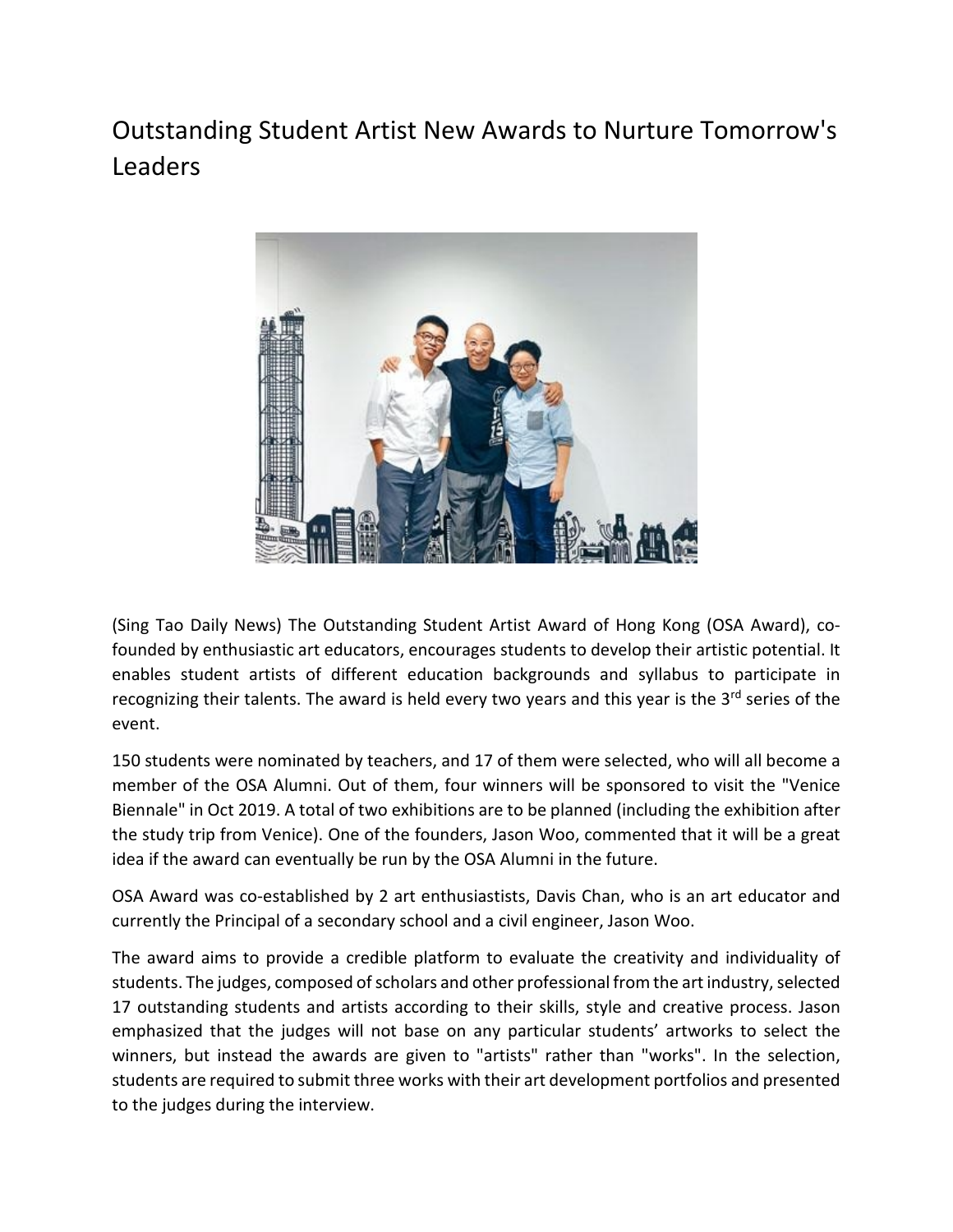## Outstanding Student Artist New Awards to Nurture Tomorrow's Leaders



(Sing Tao Daily News) The Outstanding Student Artist Award of Hong Kong (OSA Award), cofounded by enthusiastic art educators, encourages students to develop their artistic potential. It enables student artists of different education backgrounds and syllabus to participate in recognizing their talents. The award is held every two years and this year is the 3<sup>rd</sup> series of the event.

150 students were nominated by teachers, and 17 of them were selected, who will all become a member of the OSA Alumni. Out of them, four winners will be sponsored to visit the "Venice Biennale" in Oct 2019. A total of two exhibitions are to be planned (including the exhibition after the study trip from Venice). One of the founders, Jason Woo, commented that it will be a great idea if the award can eventually be run by the OSA Alumni in the future.

OSA Award was co-established by 2 art enthusiastists, Davis Chan, who is an art educator and currently the Principal of a secondary school and a civil engineer, Jason Woo.

The award aims to provide a credible platform to evaluate the creativity and individuality of students. The judges, composed of scholars and other professional from the art industry, selected 17 outstanding students and artists according to their skills, style and creative process. Jason emphasized that the judges will not base on any particular students' artworks to select the winners, but instead the awards are given to "artists" rather than "works". In the selection, students are required to submit three works with their art development portfolios and presented to the judges during the interview.